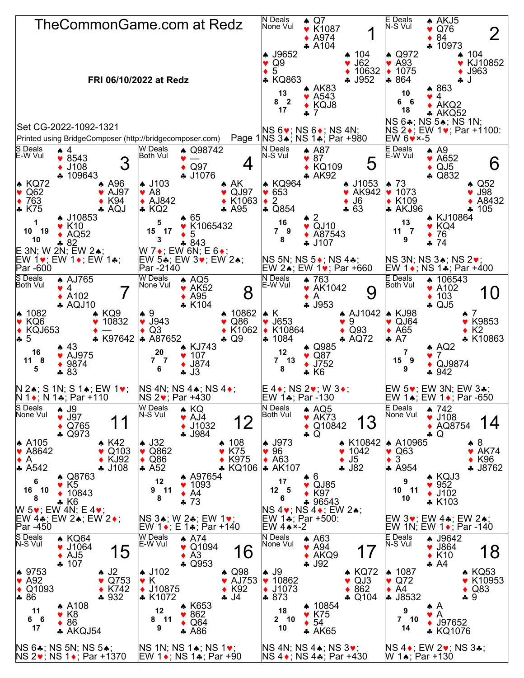